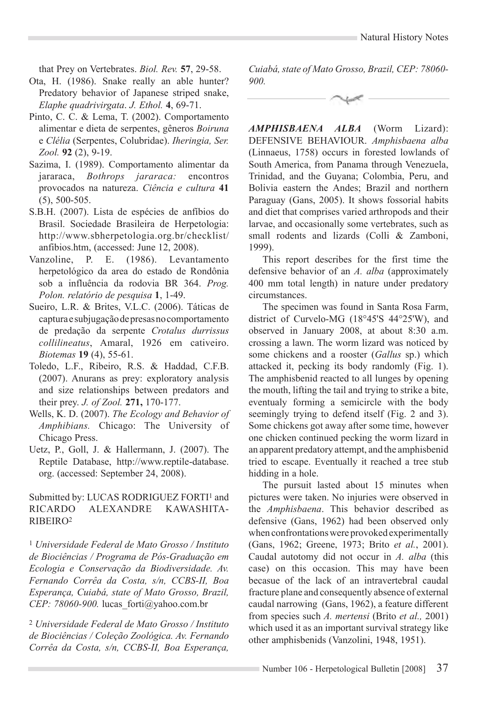that Prey on Vertebrates. *Biol. Rev.* **57**, 29-58.

- Ota, H. (1986). Snake really an able hunter? Predatory behavior of Japanese striped snake, *Elaphe quadrivirgata*. *J. Ethol.* **4**, 69-71.
- Pinto, C. C. & Lema, T. (2002). Comportamento alimentar e dieta de serpentes, gêneros *Boiruna*  e *Clélia* (Serpentes, Colubridae). *Iheringia, Ser. Zool.* **92** (2), 9-19.
- Sazima, I. (1989). Comportamento alimentar da jararaca, *Bothrops jararaca:* encontros provocados na natureza. *Ciência e cultura* **41**  (5), 500-505.
- S.B.H. (2007). Lista de espécies de anfíbios do Brasil. Sociedade Brasileira de Herpetologia: http://www.sbherpetologia.org.br/checklist/ anfibios.htm, (accessed: June 12, 2008).
- Vanzoline, P. E. (1986). Levantamento herpetológico da area do estado de Rondônia sob a influência da rodovia BR 364. *Prog. Polon. relatório de pesquisa* **1**, 1-49.
- Sueiro, L.R. & Brites, V.L.C. (2006). Táticas de captura e subjugação de presas no comportamento de predação da serpente *Crotalus durrissus collilineatus*, Amaral, 1926 em cativeiro. *Biotemas* **19** (4), 55-61.
- Toledo, L.F., Ribeiro, R.S. & Haddad, C.F.B. (2007). Anurans as prey: exploratory analysis and size relationships between predators and their prey. *J. of Zool.* **271,** 170-177.
- Wells, K. D. (2007). *The Ecology and Behavior of Amphibians.* Chicago: The University of Chicago Press.
- Uetz, P., Goll, J. & Hallermann, J. (2007). The Reptile Database, http://www.reptile-database. org. (accessed: September 24, 2008).

Submitted by: LUCAS RODRIGUEZ FORTI<sup>1</sup> and Ricardo Alexandre Kawashita-Ribeiro2

<sup>1</sup> *Universidade Federal de Mato Grosso / Instituto de Biociências / Programa de Pós-Graduação em Ecologia e Conservação da Biodiversidade. Av. Fernando Corrêa da Costa, s/n, CCBS-II, Boa Esperança, Cuiabá, state of Mato Grosso, Brazil, CEP: 78060-900.* lucas\_forti@yahoo.com.br

<sup>2</sup> *Universidade Federal de Mato Grosso / Instituto de Biociências / Coleção Zoológica. Av. Fernando Corrêa da Costa, s/n, CCBS-II, Boa Esperança,* 

*Cuiabá, state of Mato Grosso, Brazil, CEP: 78060- 900.*

*AMPHISBAENA ALBA* (Worm Lizard): DEFENSIVE BEHAVIOUR. *Amphisbaena alba*  (Linnaeus, 1758) occurs in forested lowlands of South America, from Panama through Venezuela, Trinidad, and the Guyana; Colombia, Peru, and Bolivia eastern the Andes; Brazil and northern Paraguay (Gans, 2005). It shows fossorial habits and diet that comprises varied arthropods and their larvae, and occasionally some vertebrates, such as small rodents and lizards (Colli & Zamboni, 1999).

This report describes for the first time the defensive behavior of an *A. alba* (approximately 400 mm total length) in nature under predatory circumstances.

The specimen was found in Santa Rosa Farm, district of Curvelo-MG (18°45'S 44°25'W), and observed in January 2008, at about 8:30 a.m. crossing a lawn. The worm lizard was noticed by some chickens and a rooster (*Gallus* sp.) which attacked it, pecking its body randomly (Fig. 1). The amphisbenid reacted to all lunges by opening the mouth, lifting the tail and trying to strike a bite, eventualy forming a semicircle with the body seemingly trying to defend itself (Fig. 2 and 3). Some chickens got away after some time, however one chicken continued pecking the worm lizard in an apparent predatory attempt, and the amphisbenid tried to escape. Eventually it reached a tree stub hidding in a hole.

The pursuit lasted about 15 minutes when pictures were taken. No injuries were observed in the *Amphisbaena*. This behavior described as defensive (Gans, 1962) had been observed only when confrontations were provoked experimentally (Gans, 1962; Greene, 1973; Brito *et al.*, 2001). Caudal autotomy did not occur in *A. alba* (this case) on this occasion. This may have been becasue of the lack of an intravertebral caudal fracture plane and consequently absence of external caudal narrowing (Gans, 1962), a feature different from species such *A. mertensi* (Brito *et al.,* 2001) which used it as an important survival strategy like other amphisbenids (Vanzolini, 1948, 1951).